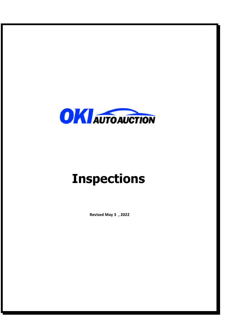

# **Inspections**

**Revised May 3 , 2022**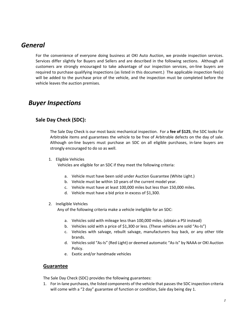# *General*

For the convenience of everyone doing business at OKI Auto Auction, we provide inspection services. Services differ slightly for Buyers and Sellers and are described in the following sections. Although all customers are strongly encouraged to take advantage of our inspection services, on‐line buyers are required to purchase qualifying inspections (as listed in this document.) The applicable inspection fee(s) will be added to the purchase price of the vehicle, and the inspection must be completed before the vehicle leaves the auction premises.

# *Buyer Inspections*

## **Sale Day Check (SDC):**

The Sale Day Check is our most basic mechanical inspection. For a **fee of \$125**, the SDC looks for Arbitrable items and guarantees the vehicle to be free of Arbitrable defects on the day of sale. Although on‐line buyers must purchase an SDC on all eligible purchases, in‐lane buyers are strongly encouraged to do so as well.

1. Eligible Vehicles

Vehicles are eligible for an SDC if they meet the following criteria:

- a. Vehicle must have been sold under Auction Guarantee (White Light.)
- b. Vehicle must be within 10 years of the current model year.
- c. Vehicle must have at least 100,000 miles but less than 150,000 miles.
- d. Vehicle must have a bid price in excess of \$1,300.

#### 2. Ineligible Vehicles

Any of the following criteria make a vehicle ineligible for an SDC:

- a. Vehicles sold with mileage less than 100,000 miles. (obtain a PSI instead)
- b. Vehicles sold with a price of \$1,300 or less. (These vehicles are sold "As‐Is")
- c. Vehicles with salvage, rebuilt salvage, manufacturers buy back, or any other title brands.
- d. Vehicles sold "As‐Is" (Red Light) or deemed automatic "As‐Is" by NAAA or OKI Auction Policy.
- e. Exotic and/or handmade vehicles

#### **Guarantee**

The Sale Day Check (SDC) provides the following guarantees:

1. For in-lane purchases, the listed components of the vehicle that passes the SDC inspection criteria will come with a "2 day" guarantee of function or condition, Sale day being day 1.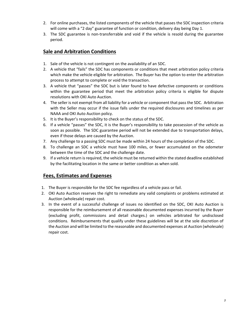- 2. For online purchases, the listed components of the vehicle that passes the SDC inspection criteria will come with a "2 day" guarantee of function or condition, delivery day being Day 1.
- 3. The SDC guarantee is non‐transferrable and void if the vehicle is resold during the guarantee period.

# **Sale and Arbitration Conditions**

- 1. Sale of the vehicle is not contingent on the availability of an SDC.
- 2. A vehicle that "fails" the SDC has components or conditions that meet arbitration policy criteria which make the vehicle eligible for arbitration. The Buyer has the option to enter the arbitration process to attempt to complete or void the transaction.
- 3. A vehicle that "passes" the SDC but is later found to have defective components or conditions within the guarantee period that meet the arbitration policy criteria is eligible for dispute resolutions with OKI Auto Auction.
- 4. The seller is not exempt from all liability for a vehicle or component that pass the SDC. Arbitration with the Seller may occur if the issue falls under the required disclosures and timelines as per NAAA and OKI Auto Auction policy.
- 5. It is the Buyer's responsibility to check on the status of the SDC.
- 6. If a vehicle "passes" the SDC, it is the Buyer's responsibility to take possession of the vehicle as soon as possible. The SDC guarantee period will not be extended due to transportation delays, even if those delays are caused by the Auction.
- 7. Any challenge to a passing SDC must be made within 24 hours of the completion of the SDC.
- 8. To challenge an SDC a vehicle must have 100 miles, or fewer accumulated on the odometer between the time of the SDC and the challenge date.
- 9. If a vehicle return is required, the vehicle must be returned within the stated deadline established by the facilitating location in the same or better condition as when sold.

## **Fees, Estimates and Expenses**

- 1. The Buyer is responsible for the SDC fee regardless of a vehicle pass or fail.
- 2. OKI Auto Auction reserves the right to remediate any valid complaints or problems estimated at Auction (wholesale) repair cost.
- 3. In the event of a successful challenge of issues no identified on the SDC, OKI Auto Auction is responsible for the reimbursement of all reasonable documented expenses incurred by the Buyer (excluding profit, commissions and detail charges.) on vehicles arbitrated for undisclosed conditions. Reimbursements that qualify under these guidelines will be at the sole discretion of the Auction and will be limited to the reasonable and documented expenses at Auction (wholesale) repair cost.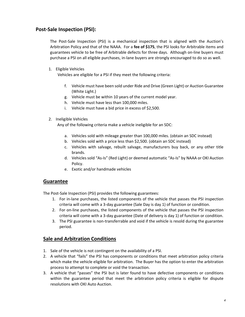#### **Post‐Sale Inspection (PSI):**

The Post-Sale Inspection (PSI) is a mechanical inspection that is aligned with the Auction's Arbitration Policy and that of the NAAA. For a **fee of \$175**, the PSI looks for Arbitrable items and guarantees vehicle to be free of Arbitrable defects for three days. Although on‐line buyers must purchase a PSI on all eligible purchases, in‐lane buyers are strongly encouraged to do so as well.

1. Eligible Vehicles

Vehicles are eligible for a PSI if they meet the following criteria:

- f. Vehicle must have been sold under Ride and Drive (Green Light) or Auction Guarantee (White Light.)
- g. Vehicle must be within 10 years of the current model year.
- h. Vehicle must have less than 100,000 miles.
- i. Vehicle must have a bid price in excess of \$2,500.

#### 2. Ineligible Vehicles

Any of the following criteria make a vehicle ineligible for an SDC:

- a. Vehicles sold with mileage greater than 100,000 miles. (obtain an SDC instead)
- b. Vehicles sold with a price less than \$2,500. (obtain an SDC instead)
- c. Vehicles with salvage, rebuilt salvage, manufacturers buy back, or any other title brands.
- d. Vehicles sold "As‐Is" (Red Light) or deemed automatic "As‐Is" by NAAA or OKI Auction Policy.
- e. Exotic and/or handmade vehicles

#### **Guarantee**

The Post-Sale Inspection (PSI) provides the following guarantees:

- 1. For in-lane purchases, the listed components of the vehicle that passes the PSI inspection criteria will come with a 3‐day guarantee (Sale Day is day 1) of function or condition.
- 2. For on‐line purchases, the listed components of the vehicle that passes the PSI inspection criteria will come with a 3‐day guarantee (Date of delivery is day 1) of function or condition.
- 3. The PSI guarantee is non‐transferrable and void if the vehicle is resold during the guarantee period.

#### **Sale and Arbitration Conditions**

- 1. Sale of the vehicle is not contingent on the availability of a PSI.
- 2. A vehicle that "fails" the PSI has components or conditions that meet arbitration policy criteria which make the vehicle eligible for arbitration. The Buyer has the option to enter the arbitration process to attempt to complete or void the transaction.
- 3. A vehicle that "passes" the PSI but is later found to have defective components or conditions within the guarantee period that meet the arbitration policy criteria is eligible for dispute resolutions with OKI Auto Auction.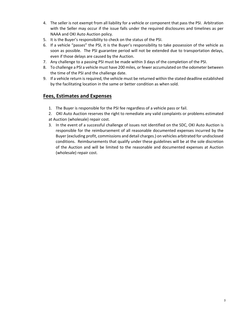- 4. The seller is not exempt from all liability for a vehicle or component that pass the PSI. Arbitration with the Seller may occur if the issue falls under the required disclosures and timelines as per NAAA and OKI Auto Auction policy.
- 5. It is the Buyer's responsibility to check on the status of the PSI.
- 6. If a vehicle "passes" the PSI, it is the Buyer's responsibility to take possession of the vehicle as soon as possible. The PSI guarantee period will not be extended due to transportation delays, even if those delays are caused by the Auction.
- 7. Any challenge to a passing PSI must be made within 3 days of the completion of the PSI.
- 8. To challenge a PSI a vehicle must have 200 miles, or fewer accumulated on the odometer between the time of the PSI and the challenge date.
- 9. If a vehicle return is required, the vehicle must be returned within the stated deadline established by the facilitating location in the same or better condition as when sold.

## **Fees, Estimates and Expenses**

- 1. The Buyer is responsible for the PSI fee regardless of a vehicle pass or fail.
- 2. OKI Auto Auction reserves the right to remediate any valid complaints or problems estimated at Auction (wholesale) repair cost.
- 3. In the event of a successful challenge of issues not identified on the SDC, OKI Auto Auction is responsible for the reimbursement of all reasonable documented expenses incurred by the Buyer (excluding profit, commissions and detail charges.) on vehicles arbitrated for undisclosed conditions. Reimbursements that qualify under these guidelines will be at the sole discretion of the Auction and will be limited to the reasonable and documented expenses at Auction (wholesale) repair cost.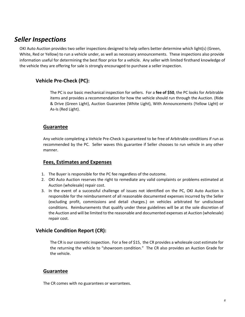# *Seller Inspections*

OKI Auto Auction provides two seller inspections designed to help sellers better determine which light(s) (Green, White, Red or Yellow) to run a vehicle under, as well as necessary announcements. These inspections also provide information useful for determining the best floor price for a vehicle. Any seller with limited firsthand knowledge of the vehicle they are offering for sale is strongly encouraged to purchase a seller inspection.

# **Vehicle Pre‐Check (PC):**

The PC is our basic mechanical inspection for sellers. For a **fee of \$50**, the PC looks for Arbitrable items and provides a recommendation for how the vehicle should run through the Auction. (Ride & Drive (Green Light), Auction Guarantee (White Light), With Announcements (Yellow Light) or As‐Is (Red Light).

#### **Guarantee**

Any vehicle completing a Vehicle Pre‐Check is guaranteed to be free of Arbitrable conditions if run as recommended by the PC. Seller waves this guarantee if Seller chooses to run vehicle in any other manner.

#### **Fees, Estimates and Expenses**

- 1. The Buyer is responsible for the PC fee regardless of the outcome.
- 2. OKI Auto Auction reserves the right to remediate any valid complaints or problems estimated at Auction (wholesale) repair cost.
- 3. In the event of a successful challenge of issues not identified on the PC, OKI Auto Auction is responsible for the reimbursement of all reasonable documented expenses incurred by the Seller (excluding profit, commissions and detail charges.) on vehicles arbitrated for undisclosed conditions. Reimbursements that qualify under these guidelines will be at the sole discretion of the Auction and will be limited to the reasonable and documented expenses at Auction (wholesale) repair cost.

#### **Vehicle Condition Report (CR):**

The CR is our cosmetic inspection. For a fee of \$15, the CR provides a wholesale cost estimate for the returning the vehicle to "showroom condition." The CR also provides an Auction Grade for the vehicle.

#### **Guarantee**

The CR comes with no guarantees or warrantees.